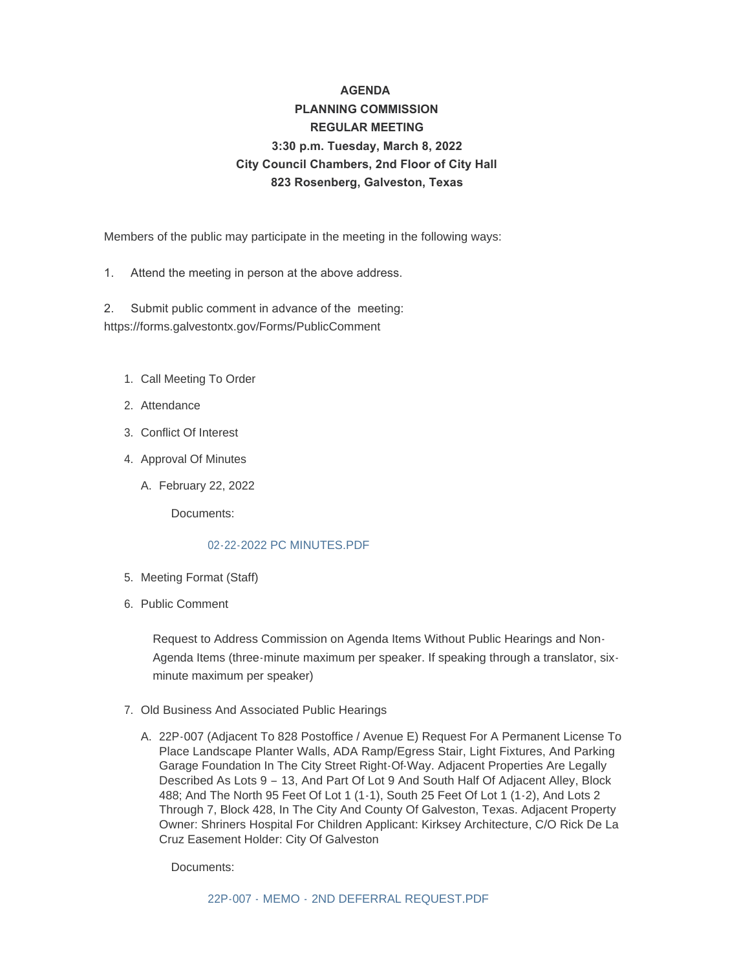# **AGENDA PLANNING COMMISSION REGULAR MEETING 3:30 p.m. Tuesday, March 8, 2022 City Council Chambers, 2nd Floor of City Hall 823 Rosenberg, Galveston, Texas**

Members of the public may participate in the meeting in the following ways:

1. Attend the meeting in person at the above address.

2. Submit public comment in advance of the meeting: https://forms.galvestontx.gov/Forms/PublicComment

- 1. Call Meeting To Order
- 2. Attendance
- Conflict Of Interest 3.
- 4. Approval Of Minutes
	- February 22, 2022 A.

Documents:

## [02-22-2022 PC MINUTES.PDF](https://www.galvestontx.gov/AgendaCenter/ViewFile/Item/13812?fileID=32317)

- 5. Meeting Format (Staff)
- 6. Public Comment

Request to Address Commission on Agenda Items Without Public Hearings and Non-Agenda Items (three-minute maximum per speaker. If speaking through a translator, sixminute maximum per speaker)

- 7. Old Business And Associated Public Hearings
	- A. 22P-007 (Adjacent To 828 Postoffice / Avenue E) Request For A Permanent License To Place Landscape Planter Walls, ADA Ramp/Egress Stair, Light Fixtures, And Parking Garage Foundation In The City Street Right-Of-Way. Adjacent Properties Are Legally Described As Lots 9 – 13, And Part Of Lot 9 And South Half Of Adjacent Alley, Block 488; And The North 95 Feet Of Lot 1 (1-1), South 25 Feet Of Lot 1 (1-2), And Lots 2 Through 7, Block 428, In The City And County Of Galveston, Texas. Adjacent Property Owner: Shriners Hospital For Children Applicant: Kirksey Architecture, C/O Rick De La Cruz Easement Holder: City Of Galveston

Documents: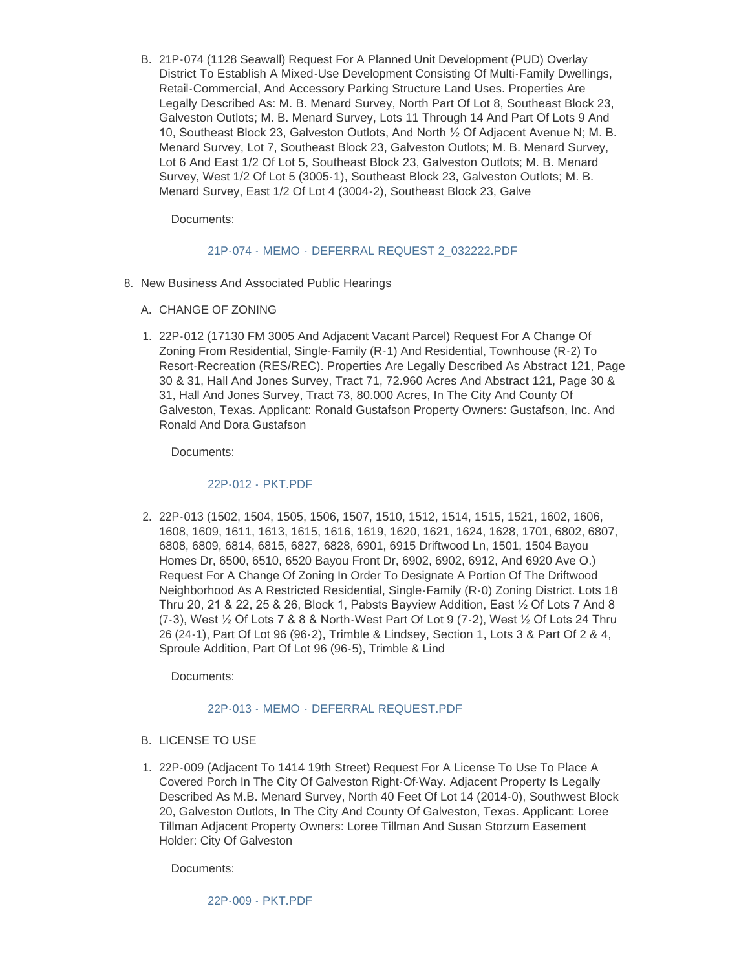B. 21P-074 (1128 Seawall) Request For A Planned Unit Development (PUD) Overlay District To Establish A Mixed-Use Development Consisting Of Multi-Family Dwellings, Retail-Commercial, And Accessory Parking Structure Land Uses. Properties Are Legally Described As: M. B. Menard Survey, North Part Of Lot 8, Southeast Block 23, Galveston Outlots; M. B. Menard Survey, Lots 11 Through 14 And Part Of Lots 9 And 10, Southeast Block 23, Galveston Outlots, And North ½ Of Adjacent Avenue N; M. B. Menard Survey, Lot 7, Southeast Block 23, Galveston Outlots; M. B. Menard Survey, Lot 6 And East 1/2 Of Lot 5, Southeast Block 23, Galveston Outlots; M. B. Menard Survey, West 1/2 Of Lot 5 (3005-1), Southeast Block 23, Galveston Outlots; M. B. Menard Survey, East 1/2 Of Lot 4 (3004-2), Southeast Block 23, Galve

Documents:

## 21P-074 - MEMO - [DEFERRAL REQUEST 2\\_032222.PDF](https://www.galvestontx.gov/AgendaCenter/ViewFile/Item/13814?fileID=32319)

- 8. New Business And Associated Public Hearings
	- A. CHANGE OF ZONING
	- 22P-012 (17130 FM 3005 And Adjacent Vacant Parcel) Request For A Change Of 1. Zoning From Residential, Single-Family (R-1) And Residential, Townhouse (R-2) To Resort-Recreation (RES/REC). Properties Are Legally Described As Abstract 121, Page 30 & 31, Hall And Jones Survey, Tract 71, 72.960 Acres And Abstract 121, Page 30 & 31, Hall And Jones Survey, Tract 73, 80.000 Acres, In The City And County Of Galveston, Texas. Applicant: Ronald Gustafson Property Owners: Gustafson, Inc. And Ronald And Dora Gustafson

Documents:

## 22P-012 - [PKT.PDF](https://www.galvestontx.gov/AgendaCenter/ViewFile/Item/13815?fileID=32336)

2. 22P-013 (1502, 1504, 1505, 1506, 1507, 1510, 1512, 1514, 1515, 1521, 1602, 1606, 1608, 1609, 1611, 1613, 1615, 1616, 1619, 1620, 1621, 1624, 1628, 1701, 6802, 6807, 6808, 6809, 6814, 6815, 6827, 6828, 6901, 6915 Driftwood Ln, 1501, 1504 Bayou Homes Dr, 6500, 6510, 6520 Bayou Front Dr, 6902, 6902, 6912, And 6920 Ave O.) Request For A Change Of Zoning In Order To Designate A Portion Of The Driftwood Neighborhood As A Restricted Residential, Single-Family (R-0) Zoning District. Lots 18 Thru 20, 21 & 22, 25 & 26, Block 1, Pabsts Bayview Addition, East ½ Of Lots 7 And 8 (7-3), West ½ Of Lots 7 & 8 & North-West Part Of Lot 9 (7-2), West ½ Of Lots 24 Thru 26 (24-1), Part Of Lot 96 (96-2), Trimble & Lindsey, Section 1, Lots 3 & Part Of 2 & 4, Sproule Addition, Part Of Lot 96 (96-5), Trimble & Lind

Documents:

#### 22P-013 - MEMO - [DEFERRAL REQUEST.PDF](https://www.galvestontx.gov/AgendaCenter/ViewFile/Item/13816?fileID=32321)

### B. LICENSE TO USE

22P-009 (Adjacent To 1414 19th Street) Request For A License To Use To Place A 1. Covered Porch In The City Of Galveston Right-Of-Way. Adjacent Property Is Legally Described As M.B. Menard Survey, North 40 Feet Of Lot 14 (2014-0), Southwest Block 20, Galveston Outlots, In The City And County Of Galveston, Texas. Applicant: Loree Tillman Adjacent Property Owners: Loree Tillman And Susan Storzum Easement Holder: City Of Galveston

Documents: